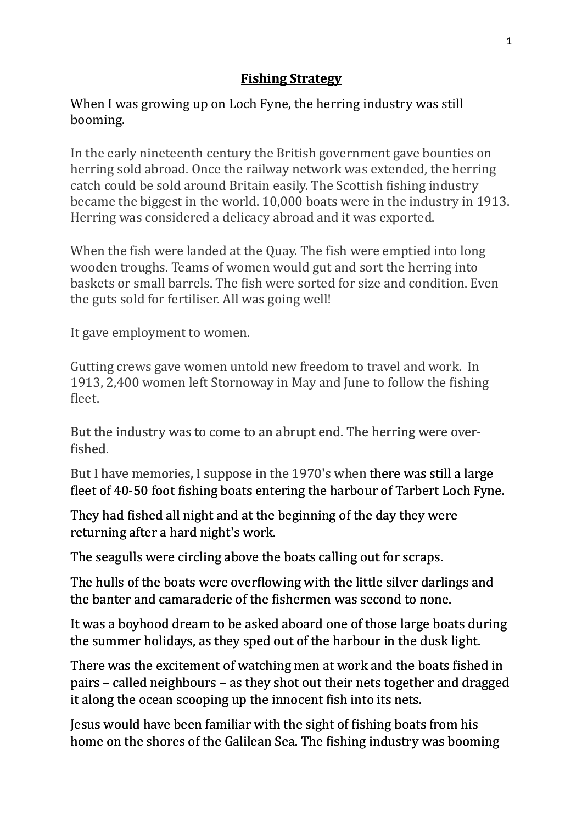## **Fishing Strategy**

When I was growing up on Loch Fyne, the herring industry was still booming. 

In the early nineteenth century the British government gave bounties on herring sold abroad. Once the railway network was extended, the herring catch could be sold around Britain easily. The Scottish fishing industry became the biggest in the world. 10,000 boats were in the industry in 1913. Herring was considered a delicacy abroad and it was exported.

When the fish were landed at the Quay. The fish were emptied into long wooden troughs. Teams of women would gut and sort the herring into baskets or small barrels. The fish were sorted for size and condition. Even the guts sold for fertiliser. All was going well!

It gave employment to women.

Gutting crews gave women untold new freedom to travel and work. In 1913, 2,400 women left Stornoway in May and June to follow the fishing fleet.

But the industry was to come to an abrupt end. The herring were overfished.

But I have memories, I suppose in the 1970's when there was still a large fleet of 40-50 foot fishing boats entering the harbour of Tarbert Loch Fyne.

They had fished all night and at the beginning of the day they were returning after a hard night's work.

The seagulls were circling above the boats calling out for scraps.

The hulls of the boats were overflowing with the little silver darlings and the banter and camaraderie of the fishermen was second to none.

It was a boyhood dream to be asked aboard one of those large boats during the summer holidays, as they sped out of the harbour in the dusk light.

There was the excitement of watching men at work and the boats fished in pairs – called neighbours – as they shot out their nets together and dragged it along the ocean scooping up the innocent fish into its nets.

Jesus would have been familiar with the sight of fishing boats from his home on the shores of the Galilean Sea. The fishing industry was booming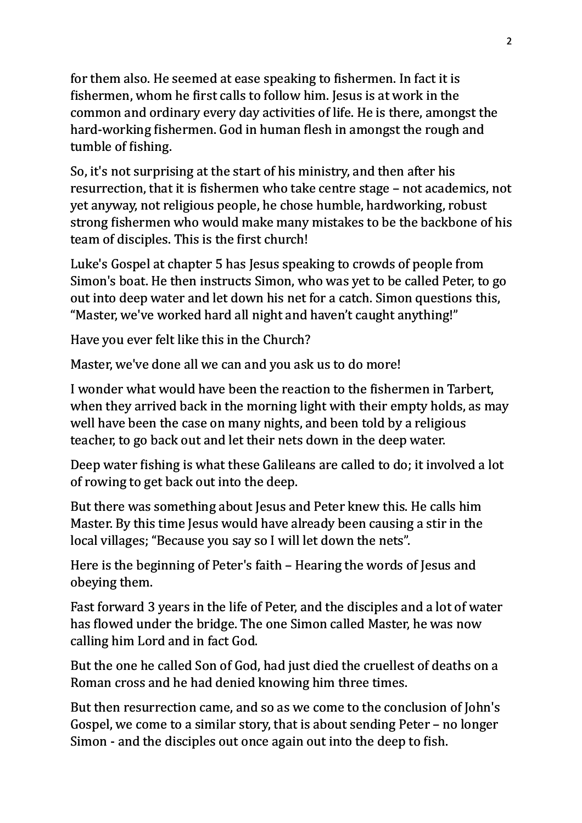for them also. He seemed at ease speaking to fishermen. In fact it is fishermen, whom he first calls to follow him. Jesus is at work in the common and ordinary every day activities of life. He is there, amongst the hard-working fishermen. God in human flesh in amongst the rough and tumble of fishing.

So, it's not surprising at the start of his ministry, and then after his resurrection, that it is fishermen who take centre stage – not academics, not yet anyway, not religious people, he chose humble, hardworking, robust strong fishermen who would make many mistakes to be the backbone of his team of disciples. This is the first church!

Luke's Gospel at chapter 5 has Jesus speaking to crowds of people from Simon's boat. He then instructs Simon, who was yet to be called Peter, to go out into deep water and let down his net for a catch. Simon questions this, "Master, we've worked hard all night and haven't caught anything!"

Have you ever felt like this in the Church?

Master, we've done all we can and you ask us to do more!

I wonder what would have been the reaction to the fishermen in Tarbert, when they arrived back in the morning light with their empty holds, as may well have been the case on many nights, and been told by a religious teacher, to go back out and let their nets down in the deep water.

Deep water fishing is what these Galileans are called to do; it involved a lot of rowing to get back out into the deep.

But there was something about Jesus and Peter knew this. He calls him Master. By this time Jesus would have already been causing a stir in the local villages; "Because you say so I will let down the nets".

Here is the beginning of Peter's faith – Hearing the words of Jesus and obeying them.

Fast forward 3 years in the life of Peter, and the disciples and a lot of water has flowed under the bridge. The one Simon called Master, he was now calling him Lord and in fact God.

But the one he called Son of God, had just died the cruellest of deaths on a Roman cross and he had denied knowing him three times.

But then resurrection came, and so as we come to the conclusion of John's Gospel, we come to a similar story, that is about sending Peter – no longer Simon - and the disciples out once again out into the deep to fish.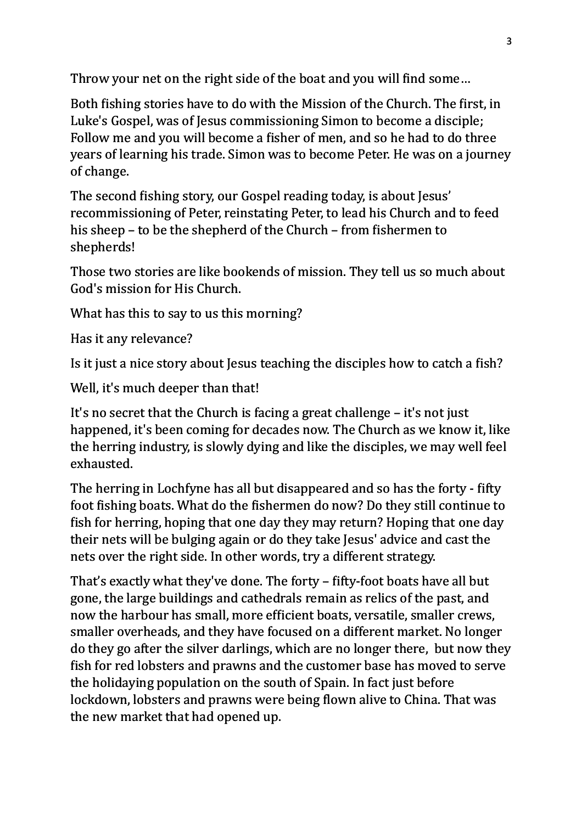Throw your net on the right side of the boat and you will find some...

Both fishing stories have to do with the Mission of the Church. The first, in Luke's Gospel, was of Jesus commissioning Simon to become a disciple; Follow me and you will become a fisher of men, and so he had to do three years of learning his trade. Simon was to become Peter. He was on a journey of change.

The second fishing story, our Gospel reading today, is about Jesus' recommissioning of Peter, reinstating Peter, to lead his Church and to feed his sheep  $-$  to be the shepherd of the Church – from fishermen to shepherds!

Those two stories are like bookends of mission. They tell us so much about God's mission for His Church.

What has this to say to us this morning?

Has it any relevance?

Is it just a nice story about Jesus teaching the disciples how to catch a fish?

Well, it's much deeper than that!

It's no secret that the Church is facing a great challenge  $-$  it's not just happened, it's been coming for decades now. The Church as we know it, like the herring industry, is slowly dying and like the disciples, we may well feel exhausted.

The herring in Lochfyne has all but disappeared and so has the forty - fifty foot fishing boats. What do the fishermen do now? Do they still continue to fish for herring, hoping that one day they may return? Hoping that one day their nets will be bulging again or do they take Jesus' advice and cast the nets over the right side. In other words, try a different strategy.

That's exactly what they've done. The forty – fifty-foot boats have all but gone, the large buildings and cathedrals remain as relics of the past, and now the harbour has small, more efficient boats, versatile, smaller crews, smaller overheads, and they have focused on a different market. No longer do they go after the silver darlings, which are no longer there, but now they fish for red lobsters and prawns and the customer base has moved to serve the holidaying population on the south of Spain. In fact just before lockdown, lobsters and prawns were being flown alive to China. That was the new market that had opened up.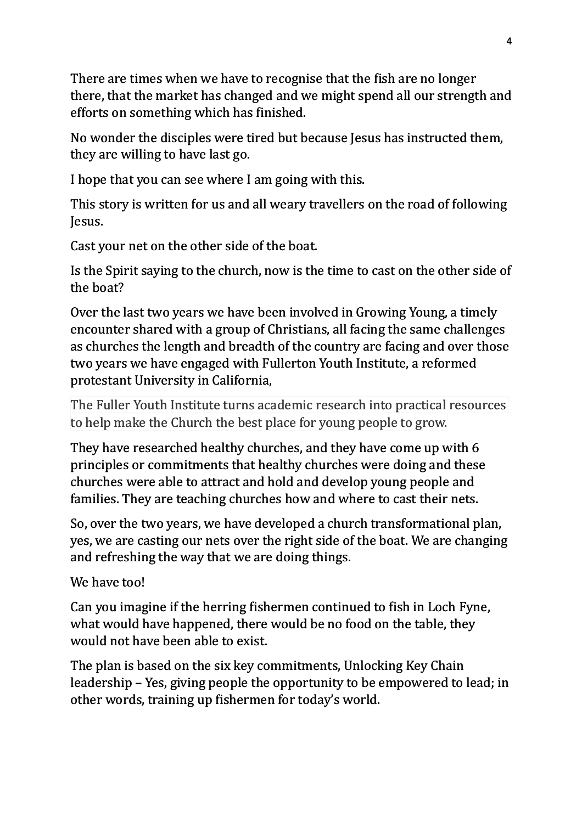There are times when we have to recognise that the fish are no longer there, that the market has changed and we might spend all our strength and efforts on something which has finished.

No wonder the disciples were tired but because Jesus has instructed them, they are willing to have last go.

I hope that you can see where I am going with this.

This story is written for us and all weary travellers on the road of following Jesus.

Cast your net on the other side of the boat.

Is the Spirit saying to the church, now is the time to cast on the other side of the boat?

Over the last two years we have been involved in Growing Young, a timely encounter shared with a group of Christians, all facing the same challenges as churches the length and breadth of the country are facing and over those two years we have engaged with Fullerton Youth Institute, a reformed protestant University in California,

The Fuller Youth Institute turns academic research into practical resources to help make the Church the best place for young people to grow.

They have researched healthy churches, and they have come up with 6 principles or commitments that healthy churches were doing and these churches were able to attract and hold and develop young people and families. They are teaching churches how and where to cast their nets.

So, over the two years, we have developed a church transformational plan, yes, we are casting our nets over the right side of the boat. We are changing and refreshing the way that we are doing things.

We have too!

Can you imagine if the herring fishermen continued to fish in Loch Fyne, what would have happened, there would be no food on the table, they would not have been able to exist.

The plan is based on the six key commitments, Unlocking Key Chain leadership – Yes, giving people the opportunity to be empowered to lead; in other words, training up fishermen for today's world.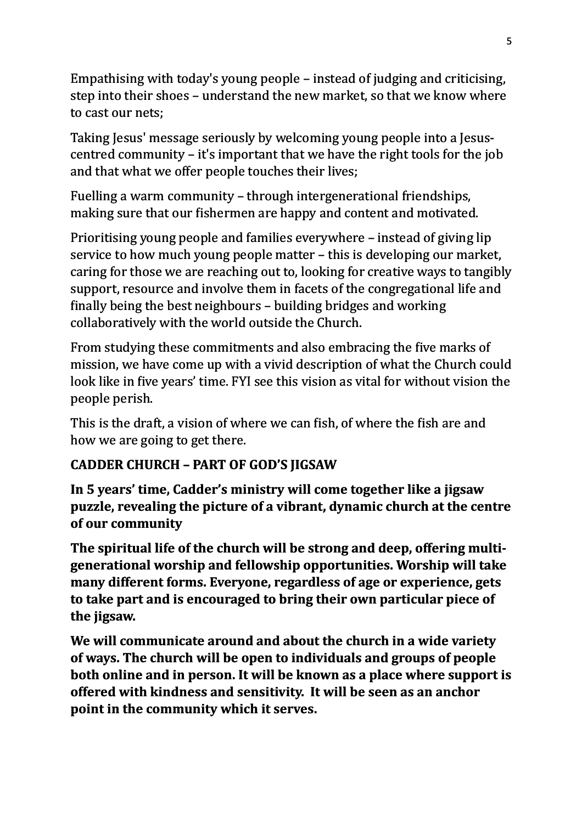Empathising with today's young people  $-$  instead of judging and criticising, step into their shoes – understand the new market, so that we know where to cast our nets:

Taking Jesus' message seriously by welcoming young people into a Jesuscentred community  $-$  it's important that we have the right tools for the job and that what we offer people touches their lives;

Fuelling a warm community – through intergenerational friendships, making sure that our fishermen are happy and content and motivated.

Prioritising young people and families everywhere – instead of giving lip service to how much young people matter – this is developing our market, caring for those we are reaching out to, looking for creative ways to tangibly support, resource and involve them in facets of the congregational life and finally being the best neighbours – building bridges and working collaboratively with the world outside the Church.

From studying these commitments and also embracing the five marks of mission, we have come up with a vivid description of what the Church could look like in five years' time. FYI see this vision as vital for without vision the people perish.

This is the draft, a vision of where we can fish, of where the fish are and how we are going to get there.

## **CADDER CHURCH - PART OF GOD'S JIGSAW**

In 5 years' time, Cadder's ministry will come together like a jigsaw **puzzle, revealing the picture of a vibrant, dynamic church at the centre of our community**

The spiritual life of the church will be strong and deep, offering multigenerational worship and fellowship opportunities. Worship will take **many different forms. Everyone, regardless of age or experience, gets** to take part and is encouraged to bring their own particular piece of the jigsaw.

We will communicate around and about the church in a wide variety of ways. The church will be open to individuals and groups of people **both online and in person. It will be known as a place where support is** offered with kindness and sensitivity. It will be seen as an anchor point in the community which it serves.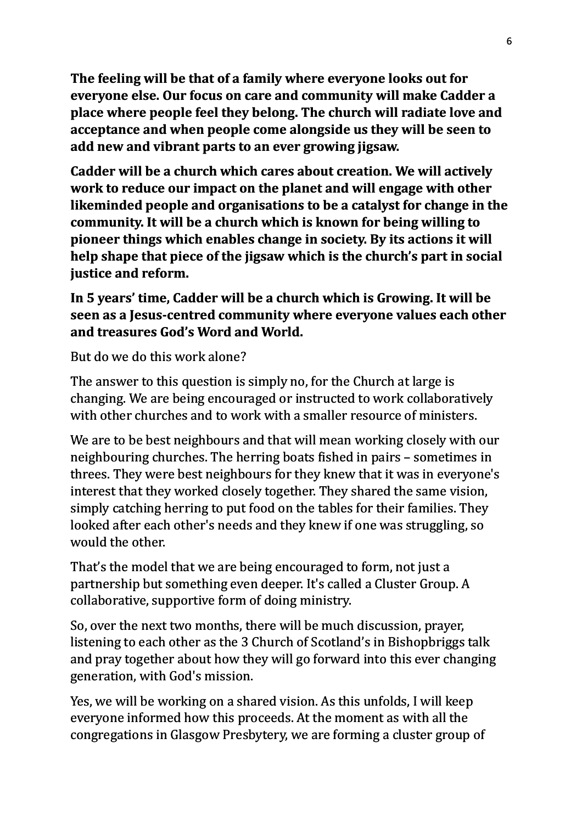The feeling will be that of a family where everyone looks out for **everyone else. Our focus on care and community will make Cadder a place where people feel they belong. The church will radiate love and** acceptance and when people come alongside us they will be seen to add new and vibrant parts to an ever growing *jigsaw*.

**Cadder will be a church which cares about creation. We will actively work to reduce our impact on the planet and will engage with other** likeminded people and organisations to be a catalyst for change in the **community.** It will be a church which is known for being willing to pioneer things which enables change in society. By its actions it will help shape that piece of the jigsaw which is the church's part in social **justice and reform.** 

## In 5 years' time, Cadder will be a church which is Growing. It will be **seen as a lesus-centred community where everyone values each other** and treasures God's Word and World.

But do we do this work alone?

The answer to this question is simply no, for the Church at large is changing. We are being encouraged or instructed to work collaboratively with other churches and to work with a smaller resource of ministers.

We are to be best neighbours and that will mean working closely with our neighbouring churches. The herring boats fished in pairs – sometimes in threes. They were best neighbours for they knew that it was in everyone's interest that they worked closely together. They shared the same vision, simply catching herring to put food on the tables for their families. They looked after each other's needs and they knew if one was struggling, so would the other.

That's the model that we are being encouraged to form, not just a partnership but something even deeper. It's called a Cluster Group. A collaborative, supportive form of doing ministry.

So, over the next two months, there will be much discussion, prayer, listening to each other as the 3 Church of Scotland's in Bishopbriggs talk and pray together about how they will go forward into this ever changing generation, with God's mission.

Yes, we will be working on a shared vision. As this unfolds, I will keep everyone informed how this proceeds. At the moment as with all the congregations in Glasgow Presbytery, we are forming a cluster group of